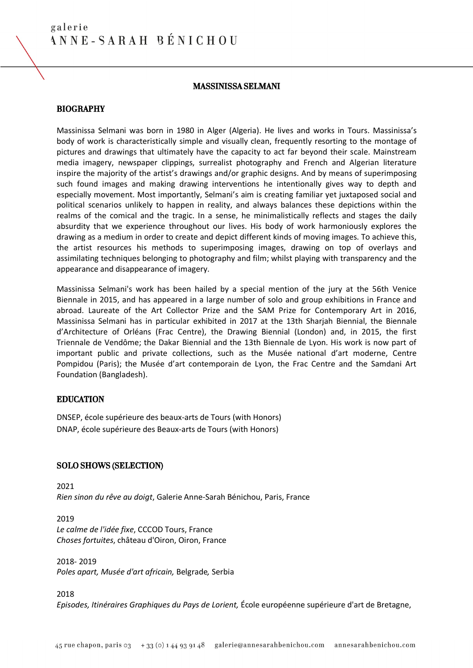#### MASSINISSA SELMANI

#### BIOGRAPHY

Massinissa Selmani was born in 1980 in Alger (Algeria). He lives and works in Tours. Massinissa's body of work is characteristically simple and visually clean, frequently resorting to the montage of pictures and drawings that ultimately have the capacity to act far beyond their scale. Mainstream media imagery, newspaper clippings, surrealist photography and French and Algerian literature inspire the majority of the artist's drawings and/or graphic designs. And by means of superimposing such found images and making drawing interventions he intentionally gives way to depth and especially movement. Most importantly, Selmani's aim is creating familiar yet juxtaposed social and political scenarios unlikely to happen in reality, and always balances these depictions within the realms of the comical and the tragic. In a sense, he minimalistically reflects and stages the daily absurdity that we experience throughout our lives. His body of work harmoniously explores the drawing as a medium in order to create and depict different kinds of moving images. To achieve this, the artist resources his methods to superimposing images, drawing on top of overlays and assimilating techniques belonging to photography and film; whilst playing with transparency and the appearance and disappearance of imagery.

Massinissa Selmani's work has been hailed by a special mention of the jury at the 56th Venice Biennale in 2015, and has appeared in a large number of solo and group exhibitions in France and abroad. Laureate of the Art Collector Prize and the SAM Prize for Contemporary Art in 2016, Massinissa Selmani has in particular exhibited in 2017 at the 13th Sharjah Biennial, the Biennale d'Architecture of Orléans (Frac Centre), the Drawing Biennial (London) and, in 2015, the first Triennale de Vendôme; the Dakar Biennial and the 13th Biennale de Lyon. His work is now part of important public and private collections, such as the Musée national d'art moderne, Centre Pompidou (Paris); the Musée d'art contemporain de Lyon, the Frac Centre and the Samdani Art Foundation (Bangladesh).

#### EDUCATION

DNSEP, école supérieure des beaux-arts de Tours (with Honors) DNAP, école supérieure des Beaux-arts de Tours (with Honors)

#### SOLO SHOWS (SELECTION)

2021 *Rien sinon du rêve au doigt*, Galerie Anne-Sarah Bénichou, Paris, France

2019 *Le calme de l'idée fixe*, CCCOD Tours, France *Choses fortuites*, château d'Oiron, Oiron, France

2018- 2019 *Poles apart, Musée d'art africain,* Belgrade*,* Serbia

#### 2018

*Episodes, Itinéraires Graphiques du Pays de Lorient,* École européenne supérieure d'art de Bretagne,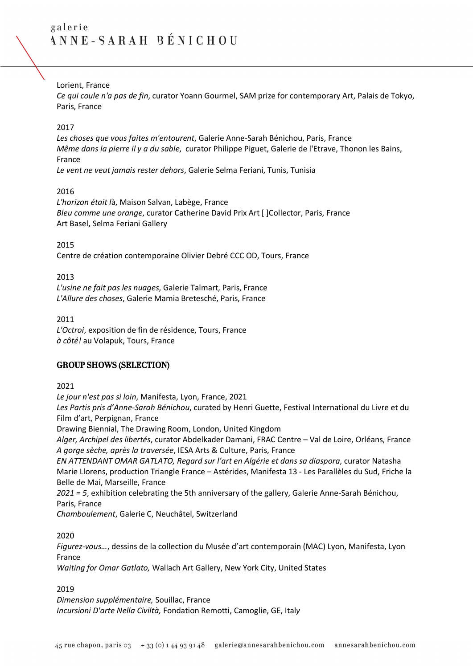# Lorient, France

*Ce qui coule n'a pas de fin*, curator Yoann Gourmel, SAM prize for contemporary Art, Palais de Tokyo, Paris, France

### 2017

*Les choses que vous faites m'entourent*, Galerie Anne-Sarah Bénichou, Paris, France *Même dans la pierre il y a du sable*, curator Philippe Piguet, Galerie de l'Etrave, Thonon les Bains, France

*Le vent ne veut jamais rester dehors*, Galerie Selma Feriani, Tunis, Tunisia

### 2016

*L'horizon était l*à, Maison Salvan, Labège, France *Bleu comme une orange*, curator Catherine David Prix Art [ ]Collector, Paris, France Art Basel, Selma Feriani Gallery

2015

Centre de création contemporaine Olivier Debré CCC OD, Tours, France

2013

*L'usine ne fait pas les nuages*, Galerie Talmart, Paris, France *L'Allure des choses*, Galerie Mamia Bretesché, Paris, France

2011

*L'Octroi*, exposition de fin de résidence, Tours, France *à côté!* au Volapuk, Tours, France

# GROUP SHOWS (SELECTION)

2021

*Le jour n'est pas si loin*, Manifesta, Lyon, France, 2021

*Les Partis pris d'Anne-Sarah Bénichou*, curated by Henri Guette, Festival International du Livre et du Film d'art, Perpignan, France

Drawing Biennial, The Drawing Room, London, United Kingdom

*Alger, Archipel des libertés*, curator Abdelkader Damani, FRAC Centre – Val de Loire, Orléans, France *A gorge sèche, après la traversée*, IESA Arts & Culture, Paris, France

*EN ATTENDANT OMAR GATLATO, Regard sur l'art en Algérie et dans sa diaspora*, curator Natasha Marie Llorens, production Triangle France – Astérides, Manifesta 13 - Les Parallèles du Sud, Friche la Belle de Mai, Marseille, France

*2021 = 5*, exhibition celebrating the 5th anniversary of the gallery, Galerie Anne-Sarah Bénichou, Paris, France

*Chamboulement*, Galerie C, Neuchâtel, Switzerland

2020

*Figurez-vous…*, dessins de la collection du Musée d'art contemporain (MAC) Lyon, Manifesta, Lyon France

*Waiting for Omar Gatlato,* Wallach Art Gallery, New York City, United States

2019

*Dimension supplémentaire,* Souillac, France *Incursioni D'arte Nella Civiltà,* Fondation Remotti, Camoglie, GE, Ital*y*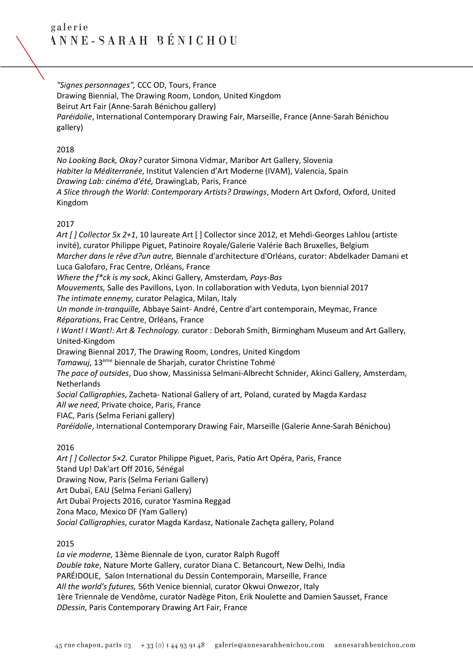*"Signes personnages",* CCC OD, Tours, France Drawing Biennial, The Drawing Room, London, United Kingdom Beirut Art Fair (Anne-Sarah Bénichou gallery) *Paréidolie*, International Contemporary Drawing Fair, Marseille, France (Anne-Sarah Bénichou gallery)

### 2018

*No Looking Back, Okay?* curator Simona Vidmar, Maribor Art Gallery, Slovenia *Habiter la Méditerranée*, Institut Valencien d'Art Moderne (IVAM), Valencia, Spain *Drawing Lab: cinéma d'été,* DrawingLab, Paris, France *A Slice through the World: Contemporary Artists? Drawings*, Modern Art Oxford, Oxford, United Kingdom

### 2017

*Art [ ] Collector 5x 2+1*, 10 laureate Art [ ] Collector since 2012, et Mehdi-Georges Lahlou (artiste invité), curator Philippe Piguet, Patinoire Royale/Galerie Valérie Bach Bruxelles, Belgium *Marcher dans le rêve d?un autre,* Biennale d'architecture d'Orléans, curator: Abdelkader Damani et Luca Galofaro, Frac Centre, Orléans, France *Where the f\*ck is my sock*, Akinci Gallery, Amsterdam*, Pays-Bas Mouvements,* Salle des Pavillons, Lyon. In collaboration with Veduta, Lyon biennial 2017 *The intimate ennemy,* curator Pelagica, Milan, Italy *Un monde in-tranquille,* Abbaye Saint- André, Centre d'art contemporain, Meymac, France *Réparations*, Frac Centre, Orléans, France *I Want! I Want!: Art & Technology.* curator : Deborah Smith, Birmingham Museum and Art Gallery, United-Kingdom Drawing Biennal 2017, The Drawing Room, Londres, United Kingdom *Tamawuj*, 13ème biennale de Sharjah, curator Christine Tohmé *The pace of outsides*, Duo show, Massinissa Selmani-Albrecht Schnider, Akinci Gallery, Amsterdam, Netherlands *Social Calligraphies*, Zacheta- National Gallery of art, Poland, curated by Magda Kardasz *All we need*, Private choice, Paris, France

FIAC, Paris (Selma Feriani gallery)

*Paréidolie*, International Contemporary Drawing Fair, Marseille (Galerie Anne-Sarah Bénichou)

# 2016

*Art [ ] Collector 5×2*. Curator Philippe Piguet, Paris, Patio Art Opéra, Paris, France Stand Up! Dak'art Off 2016, Sénégal Drawing Now, Paris (Selma Feriani Gallery) Art Dubaï, EAU (Selma Feriani Gallery) Art Dubaï Projects 2016, curator Yasmina Reggad Zona Maco, Mexico DF (Yam Gallery) *Social Calligraphies*, curator Magda Kardasz, Nationale Zachęta gallery, Poland

# 2015

*La vie moderne*, 13ème Biennale de Lyon, curator Ralph Rugoff *Double take*, Nature Morte Gallery, curator Diana C. Betancourt, New Delhi, India PARÉIDOLIE, Salon International du Dessin Contemporain, Marseille, France *All the world's futures,* 56th Venice biennial, curator Okwui Onwezor, Italy 1ère Triennale de Vendôme, curator Nadège Piton, Erik Noulette and Damien Sausset, France *DDessin*, Paris Contemporary Drawing Art Fair, France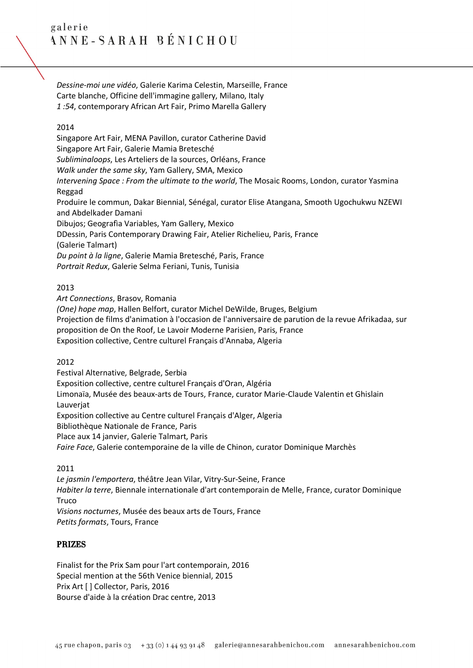*Dessine-moi une vidéo*, Galerie Karima Celestin, Marseille, France Carte blanche, Officine dell'immagine gallery, Milano, Italy *1 :54*, contemporary African Art Fair, Primo Marella Gallery

### 2014

Singapore Art Fair, MENA Pavillon, curator Catherine David Singapore Art Fair, Galerie Mamia Bretesché *Subliminaloops*, Les Arteliers de la sources, Orléans, France *Walk under the same sky*, Yam Gallery, SMA, Mexico *Intervening Space : From the ultimate to the world*, The Mosaic Rooms, London, curator Yasmina Reggad Produire le commun, Dakar Biennial, Sénégal, curator Elise Atangana, Smooth Ugochukwu NZEWI and Abdelkader Damani Dibujos; Geografìa Variables, Yam Gallery, Mexico DDessin, Paris Contemporary Drawing Fair, Atelier Richelieu, Paris, France (Galerie Talmart) *Du point à la ligne*, Galerie Mamia Bretesché, Paris, France

*Portrait Redux*, Galerie Selma Feriani, Tunis, Tunisia

### 2013

*Art Connections*, Brasov, Romania

*(One) hope map*, Hallen Belfort, curator Michel DeWilde, Bruges, Belgium

Projection de films d'animation à l'occasion de l'anniversaire de parution de la revue Afrikadaa, sur

proposition de On the Roof, Le Lavoir Moderne Parisien, Paris, France

Exposition collective, Centre culturel Français d'Annaba, Algeria

### 2012

Festival Alternative, Belgrade, Serbia

Exposition collective, centre culturel Français d'Oran, Algéria

Limonaïa, Musée des beaux-arts de Tours, France, curator Marie-Claude Valentin et Ghislain Lauverjat

Exposition collective au Centre culturel Français d'Alger, Algeria

Bibliothèque Nationale de France, Paris

Place aux 14 janvier, Galerie Talmart, Paris

*Faire Face*, Galerie contemporaine de la ville de Chinon, curator Dominique Marchès

2011

*Le jasmin l'emportera*, théâtre Jean Vilar, Vitry-Sur-Seine, France *Habiter la terre*, Biennale internationale d'art contemporain de Melle, France, curator Dominique Truco *Visions nocturnes*, Musée des beaux arts de Tours, France *Petits formats*, Tours, France

# PRIZES

Finalist for the Prix Sam pour l'art contemporain, 2016 Special mention at the 56th Venice biennial, 2015 Prix Art [ ] Collector, Paris, 2016 Bourse d'aide à la création Drac centre, 2013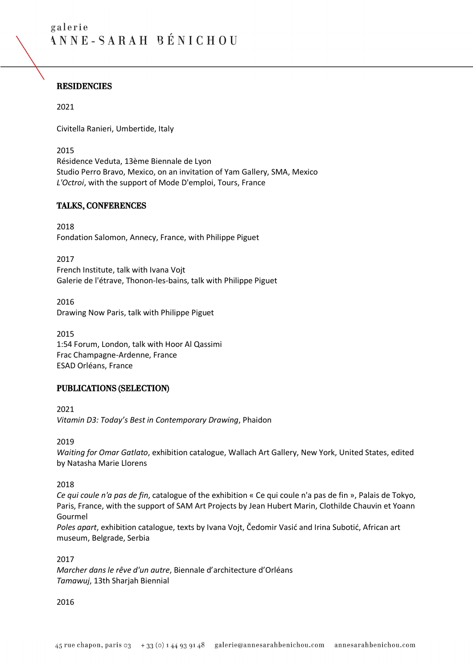# **RESIDENCIES**

2021

Civitella Ranieri, Umbertide, Italy

2015 Résidence Veduta, 13ème Biennale de Lyon Studio Perro Bravo, Mexico, on an invitation of Yam Gallery, SMA, Mexico *L'Octroi*, with the support of Mode D'emploi, Tours, France

### TALKS, CONFERENCES

2018 Fondation Salomon, Annecy, France, with Philippe Piguet

2017 French Institute, talk with Ivana Vojt Galerie de l'étrave, Thonon-les-bains, talk with Philippe Piguet

2016 Drawing Now Paris, talk with Philippe Piguet

2015 1:54 Forum, London, talk with Hoor Al Qassimi Frac Champagne-Ardenne, France ESAD Orléans, France

#### PUBLICATIONS (SELECTION)

2021 *Vitamin D3: Today's Best in Contemporary Drawing*, Phaidon

2019

*Waiting for Omar Gatlato*, exhibition catalogue, Wallach Art Gallery, New York, United States, edited by Natasha Marie Llorens

#### 2018

*Ce qui coule n'a pas de fin*, catalogue of the exhibition « Ce qui coule n'a pas de fin », Palais de Tokyo, Paris, France, with the support of SAM Art Projects by Jean Hubert Marin, Clothilde Chauvin et Yoann Gourmel

*Poles apart*, exhibition catalogue, texts by Ivana Vojt, Čedomir Vasić and Irina Subotić, African art museum, Belgrade, Serbia

2017

*Marcher dans le rêve d'un autre*, Biennale d'architecture d'Orléans *Tamawuj*, 13th Sharjah Biennial

2016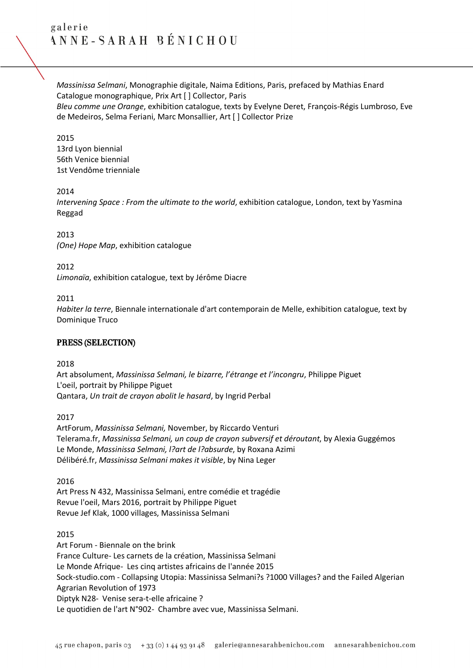*Massinissa Selmani*, Monographie digitale, Naima Editions, Paris, prefaced by Mathias Enard Catalogue monographique, Prix Art [ ] Collector, Paris *Bleu comme une Orange*, exhibition catalogue, texts by Evelyne Deret, François-Régis Lumbroso, Eve de Medeiros, Selma Feriani, Marc Monsallier, Art [ ] Collector Prize

#### 2015

13rd Lyon biennial 56th Venice biennial 1st Vendôme trienniale

#### 2014

*Intervening Space : From the ultimate to the world*, exhibition catalogue, London, text by Yasmina Reggad

2013 *(One) Hope Map*, exhibition catalogue

2012

*Limonaïa*, exhibition catalogue, text by Jérôme Diacre

2011

*Habiter la terre*, Biennale internationale d'art contemporain de Melle, exhibition catalogue, text by Dominique Truco

#### PRESS (SELECTION)

2018

Art absolument, *Massinissa Selmani, le bizarre, l'étrange et l'incongru*, Philippe Piguet L'oeil, portrait by Philippe Piguet Qantara, *Un trait de crayon abolit le hasard*, by Ingrid Perbal

2017

ArtForum, *Massinissa Selmani,* November, by Riccardo Venturi Telerama.fr, *Massinissa Selmani, un coup de crayon subversif et déroutant*, by Alexia Guggémos Le Monde, *Massinissa Selmani, l?art de l?absurde*, by Roxana Azimi Délibéré.fr, *Massinissa Selmani makes it visible*, by Nina Leger

2016

Art Press N 432, Massinissa Selmani, entre comédie et tragédie Revue l'oeil, Mars 2016, portrait by Philippe Piguet Revue Jef Klak, 1000 villages, Massinissa Selmani

2015

Art Forum - Biennale on the brink France Culture- Les carnets de la création, Massinissa Selmani Le Monde Afrique- Les cinq artistes africains de l'année 2015 Sock-studio.com - Collapsing Utopia: Massinissa Selmani?s ?1000 Villages? and the Failed Algerian Agrarian Revolution of 1973 Diptyk N28- Venise sera-t-elle africaine ? Le quotidien de l'art N°902- Chambre avec vue, Massinissa Selmani.